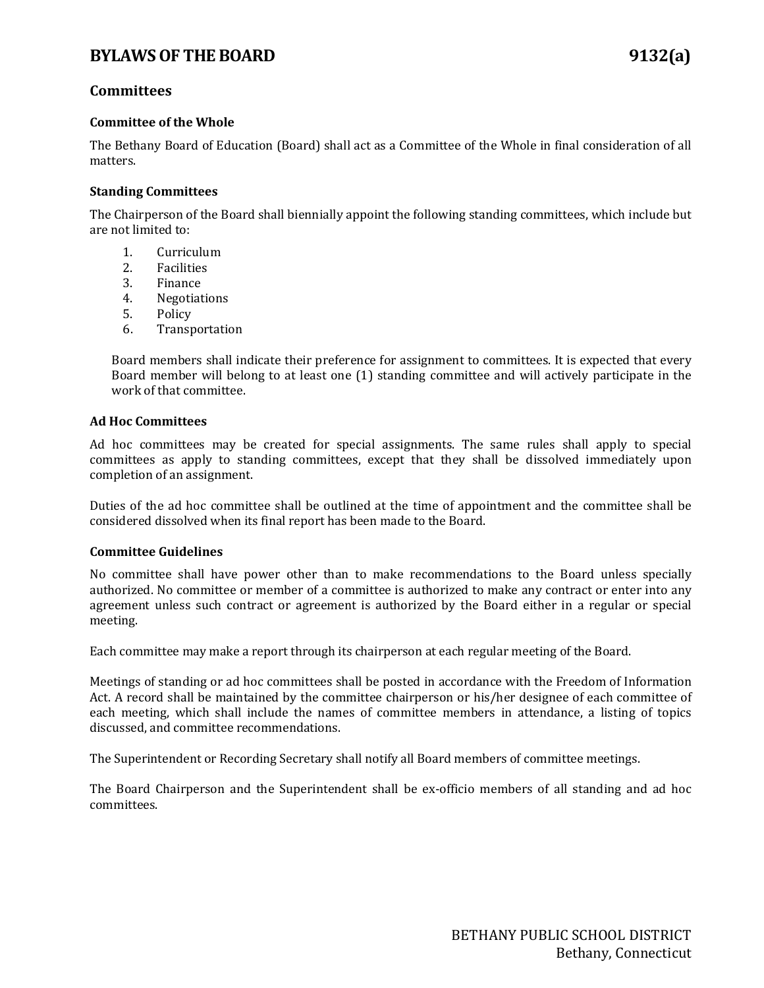## **Committees**

#### **Committee of the Whole**

The Bethany Board of Education (Board) shall act as a Committee of the Whole in final consideration of all matters.

#### **Standing Committees**

The Chairperson of the Board shall biennially appoint the following standing committees, which include but are not limited to:

- 1. Curriculum<br>2. Facilities
- 2. Facilities<br>3. Finance
- **Finance**
- 4. Negotiations<br>5. Policy
- 5. Policy<br>6. Transp
- **Transportation**

Board members shall indicate their preference for assignment to committees. It is expected that every Board member will belong to at least one (1) standing committee and will actively participate in the work of that committee.

#### **Ad Hoc Committees**

Ad hoc committees may be created for special assignments. The same rules shall apply to special committees as apply to standing committees, except that they shall be dissolved immediately upon completion of an assignment.

Duties of the ad hoc committee shall be outlined at the time of appointment and the committee shall be considered dissolved when its final report has been made to the Board.

#### **Committee Guidelines**

No committee shall have power other than to make recommendations to the Board unless specially authorized. No committee or member of a committee is authorized to make any contract or enter into any agreement unless such contract or agreement is authorized by the Board either in a regular or special meeting.

Each committee may make a report through its chairperson at each regular meeting of the Board.

Meetings of standing or ad hoc committees shall be posted in accordance with the Freedom of Information Act. A record shall be maintained by the committee chairperson or his/her designee of each committee of each meeting, which shall include the names of committee members in attendance, a listing of topics discussed, and committee recommendations.

The Superintendent or Recording Secretary shall notify all Board members of committee meetings.

The Board Chairperson and the Superintendent shall be ex-officio members of all standing and ad hoc committees.